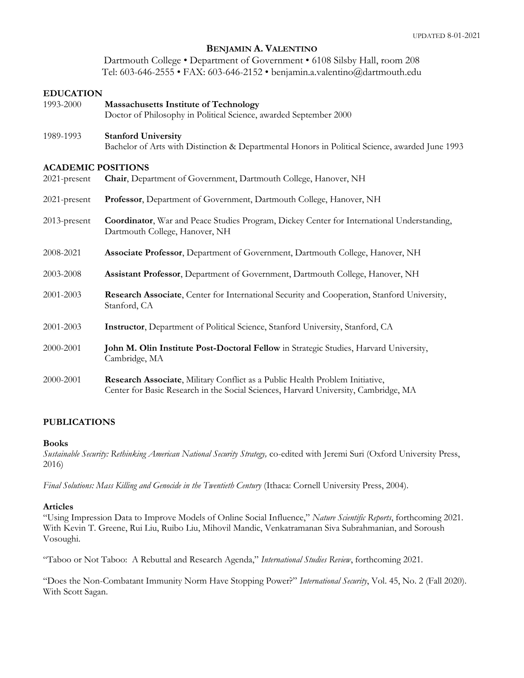## **BENJAMIN A. VALENTINO**

Dartmouth College • Department of Government • 6108 Silsby Hall, room 208 Tel: 603-646-2555 • FAX: 603-646-2152 • benjamin.a.valentino@dartmouth.edu

#### **EDUCATION**

| 1993-2000                                 | <b>Massachusetts Institute of Technology</b><br>Doctor of Philosophy in Political Science, awarded September 2000                                                   |
|-------------------------------------------|---------------------------------------------------------------------------------------------------------------------------------------------------------------------|
| 1989-1993                                 | <b>Stanford University</b><br>Bachelor of Arts with Distinction & Departmental Honors in Political Science, awarded June 1993                                       |
| <b>ACADEMIC POSITIONS</b><br>2021-present | Chair, Department of Government, Dartmouth College, Hanover, NH                                                                                                     |
| 2021-present                              | Professor, Department of Government, Dartmouth College, Hanover, NH                                                                                                 |
| 2013-present                              | <b>Coordinator</b> , War and Peace Studies Program, Dickey Center for International Understanding,<br>Dartmouth College, Hanover, NH                                |
| 2008-2021                                 | Associate Professor, Department of Government, Dartmouth College, Hanover, NH                                                                                       |
| 2003-2008                                 | Assistant Professor, Department of Government, Dartmouth College, Hanover, NH                                                                                       |
| 2001-2003                                 | Research Associate, Center for International Security and Cooperation, Stanford University,<br>Stanford, CA                                                         |
| 2001-2003                                 | Instructor, Department of Political Science, Stanford University, Stanford, CA                                                                                      |
| 2000-2001                                 | John M. Olin Institute Post-Doctoral Fellow in Strategic Studies, Harvard University,<br>Cambridge, MA                                                              |
| 2000-2001                                 | Research Associate, Military Conflict as a Public Health Problem Initiative,<br>Center for Basic Research in the Social Sciences, Harvard University, Cambridge, MA |

# **PUBLICATIONS**

#### **Books**

*Sustainable Security: Rethinking American National Security Strategy,* co-edited with Jeremi Suri (Oxford University Press, 2016)

*Final Solutions: Mass Killing and Genocide in the Twentieth Century* (Ithaca: Cornell University Press, 2004).

#### **Articles**

"Using Impression Data to Improve Models of Online Social Influence," *Nature Scientific Reports*, forthcoming 2021. With Kevin T. Greene, Rui Liu, Ruibo Liu, Mihovil Mandic, Venkatramanan Siva Subrahmanian, and Soroush Vosoughi.

"Taboo or Not Taboo: A Rebuttal and Research Agenda," *International Studies Review*, forthcoming 2021.

"Does the Non-Combatant Immunity Norm Have Stopping Power?" *International Security*, Vol. 45, No. 2 (Fall 2020). With Scott Sagan.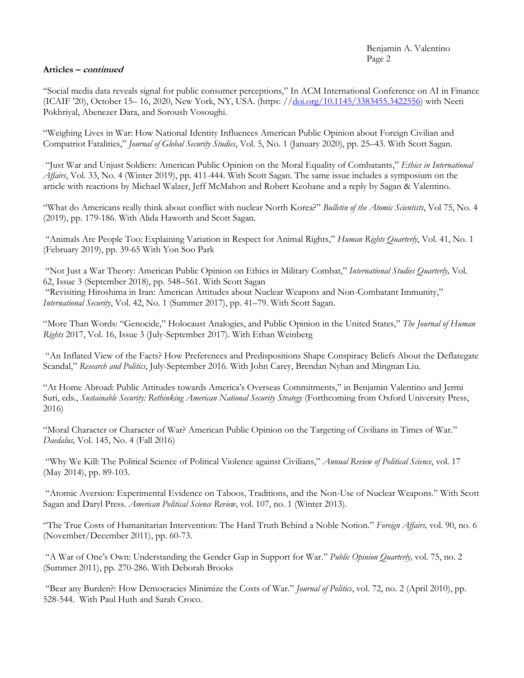## Benjamin A. Valentino Page 2

# **Articles – continued**

"Social media data reveals signal for public consumer perceptions," In ACM International Conference on AI in Finance (ICAIF '20), October 15– 16, 2020, New York, NY, USA. (https: /[/doi.org/10.1145/3383455.3422556\)](https://nam12.safelinks.protection.outlook.com/?url=http%3A%2F%2Fdoi.org%2F10.1145%2F3383455.3422556&data=02%7C01%7CBenjamin.A.Valentino%40dartmouth.edu%7C7a0005f731af46fd6b8608d852c478b1%7C995b093648d640e5a31ebf689ec9446f%7C0%7C0%7C637350351413997346&sdata=vLSt99Z2wp2V%2BxAt5VSSMImO9Gyf8GDw3pod7fizG8k%3D&reserved=0) with Neeti Pokhriyal, Abenezer Dara, and Soroush Vosoughi.

"Weighing Lives in War: How National Identity Influences American Public Opinion about Foreign Civilian and Compatriot Fatalities," *Journal of Global Security Studies*, Vol. 5, No. 1 (January 2020), pp. 25–43. With Scott Sagan.

"Just War and Unjust Soldiers: American Public Opinion on the Moral Equality of Combatants," *Ethics in International Affairs*, Vol. 33, No. 4 (Winter 2019), pp. 411-444. With Scott Sagan. The same issue includes a symposium on the article with reactions by Michael Walzer, Jeff McMahon and Robert Keohane and a reply by Sagan & Valentino.

"What do Americans really think about conflict with nuclear North Korea?" *Bulletin of the Atomic Scientists*, Vol 75, No. 4 (2019), pp. 179-186. With Alida Haworth and Scott Sagan.

"Animals Are People Too: Explaining Variation in Respect for Animal Rights," *Human Rights Quarterly*, Vol. 41, No. 1 (February 2019), pp. 39-65 With Yon Soo Park

"Not Just a War Theory: American Public Opinion on Ethics in Military Combat," *International Studies Quarterly,* Vol. 62, Issue 3 (September 2018), pp. 548–561. With Scott Sagan

"Revisiting Hiroshima in Iran: American Attitudes about Nuclear Weapons and Non-Combatant Immunity," *International Security*, Vol. 42, No. 1 (Summer 2017), pp. 41–79. With Scott Sagan.

"More Than Words: "Genocide," Holocaust Analogies, and Public Opinion in the United States," *The Journal of Human Rights* 2017, Vol. 16, Issue 3 (July-September 2017). With Ethan Weinberg

"An Inflated View of the Facts? How Preferences and Predispositions Shape Conspiracy Beliefs About the Deflategate Scandal," *Research and Politics*, July-September 2016. With John Carey, Brendan Nyhan and Mingnan Liu.

"At Home Abroad: Public Attitudes towards America's Overseas Commitments," in Benjamin Valentino and Jermi Suri, eds., *Sustainable Security: Rethinking American National Security Strategy* (Forthcoming from Oxford University Press, 2016)

"Moral Character or Character of War? American Public Opinion on the Targeting of Civilians in Times of War." *Daedalus,* Vol. 145, No. 4 (Fall 2016)

"Why We Kill: The Political Science of Political Violence against Civilians," *Annual Review of Political Science*, vol. 17 (May 2014), pp. 89-103.

"Atomic Aversion: Experimental Evidence on Taboos, Traditions, and the Non-Use of Nuclear Weapons." With Scott Sagan and Daryl Press. *American Political Science Review*, vol. 107, no. 1 (Winter 2013).

"The True Costs of Humanitarian Intervention: The Hard Truth Behind a Noble Notion." *Foreign Affairs,* vol. 90, no. 6 (November/December 2011), pp. 60-73.

"A War of One's Own: Understanding the Gender Gap in Support for War." *Public Opinion Quarterly,* vol. 75, no. 2 (Summer 2011), pp. 270-286. With Deborah Brooks

"Bear any Burden?: How Democracies Minimize the Costs of War." *Journal of Politics*, vol. 72, no. 2 (April 2010), pp. 528-544. With Paul Huth and Sarah Croco.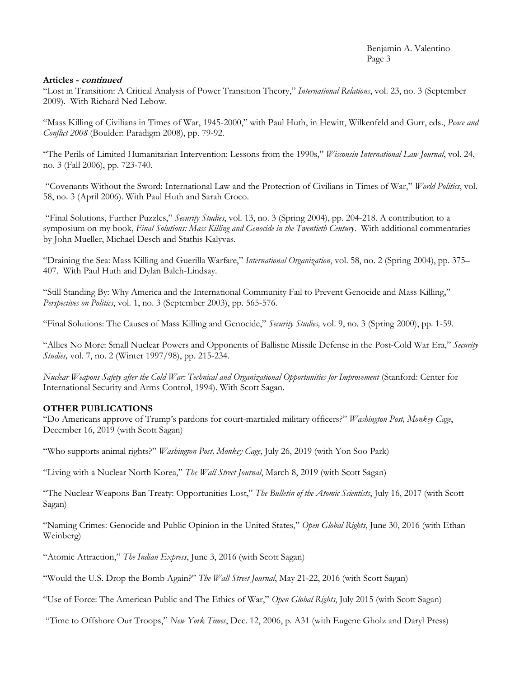## **Articles - continued**

"Lost in Transition: A Critical Analysis of Power Transition Theory," *International Relations*, vol. 23, no. 3 (September 2009). With Richard Ned Lebow.

"Mass Killing of Civilians in Times of War, 1945-2000," with Paul Huth, in Hewitt, Wilkenfeld and Gurr, eds., *Peace and Conflict 2008* (Boulder: Paradigm 2008), pp. 79-92.

"The Perils of Limited Humanitarian Intervention: Lessons from the 1990s," *Wisconsin International Law Journal*, vol. 24, no. 3 (Fall 2006), pp. 723-740.

"Covenants Without the Sword: International Law and the Protection of Civilians in Times of War," *World Politics*, vol. 58, no. 3 (April 2006). With Paul Huth and Sarah Croco.

"Final Solutions, Further Puzzles," *Security Studies*, vol. 13, no. 3 (Spring 2004), pp. 204-218. A contribution to a symposium on my book, *Final Solutions: Mass Killing and Genocide in the Twentieth Century*. With additional commentaries by John Mueller, Michael Desch and Stathis Kalyvas.

"Draining the Sea: Mass Killing and Guerilla Warfare," *International Organization*, vol. 58, no. 2 (Spring 2004), pp. 375– 407. With Paul Huth and Dylan Balch-Lindsay.

"Still Standing By: Why America and the International Community Fail to Prevent Genocide and Mass Killing," *Perspectives on Politics*, vol. 1, no. 3 (September 2003), pp. 565-576.

"Final Solutions: The Causes of Mass Killing and Genocide," *Security Studies,* vol. 9, no. 3 (Spring 2000), pp. 1-59.

"Allies No More: Small Nuclear Powers and Opponents of Ballistic Missile Defense in the Post-Cold War Era," *Security Studies,* vol. 7, no. 2 (Winter 1997/98), pp. 215-234.

*Nuclear Weapons Safety after the Cold War: Technical and Organizational Opportunities for Improvement* (Stanford: Center for International Security and Arms Control, 1994). With Scott Sagan.

# **OTHER PUBLICATIONS**

"Do Americans approve of Trump's pardons for court-martialed military officers?" *Washington Post, Monkey Cage*, December 16, 2019 (with Scott Sagan)

"Who supports animal rights?" *Washington Post, Monkey Cage*, July 26, 2019 (with Yon Soo Park)

"Living with a Nuclear North Korea," *The Wall Street Journal*, March 8, 2019 (with Scott Sagan)

"The Nuclear Weapons Ban Treaty: Opportunities Lost," *The Bulletin of the Atomic Scientists*, July 16, 2017 (with Scott Sagan)

"Naming Crimes: Genocide and Public Opinion in the United States," *Open Global Rights*, June 30, 2016 (with Ethan Weinberg)

"Atomic Attraction," *The Indian Express*, June 3, 2016 (with Scott Sagan)

"Would the U.S. Drop the Bomb Again?" *The Wall Street Journal*, May 21-22, 2016 (with Scott Sagan)

"Use of Force: The American Public and The Ethics of War," *Open Global Rights*, July 2015 (with Scott Sagan)

"Time to Offshore Our Troops," *New York Times*, Dec. 12, 2006, p. A31 (with Eugene Gholz and Daryl Press)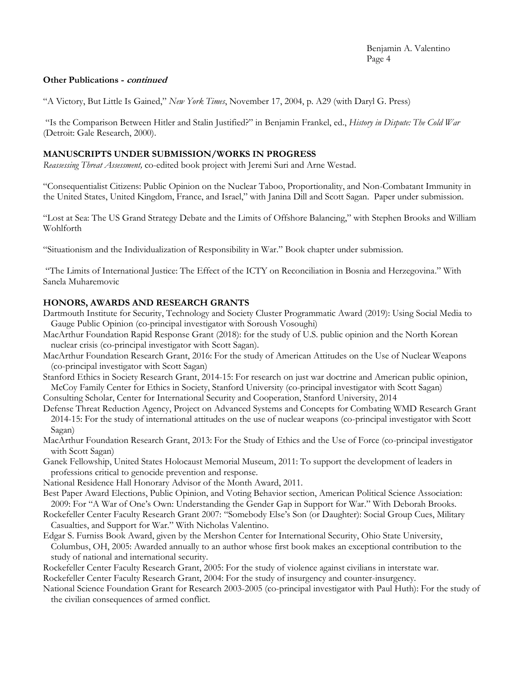# **Other Publications - continued**

"A Victory, But Little Is Gained," *New York Times*, November 17, 2004, p. A29 (with Daryl G. Press)

"Is the Comparison Between Hitler and Stalin Justified?" in Benjamin Frankel, ed., *History in Dispute: The Cold War* (Detroit: Gale Research, 2000).

## **MANUSCRIPTS UNDER SUBMISSION/WORKS IN PROGRESS**

*Reassessing Threat Assessment,* co-edited book project with Jeremi Suri and Arne Westad.

"Consequentialist Citizens: Public Opinion on the Nuclear Taboo, Proportionality, and Non-Combatant Immunity in the United States, United Kingdom, France, and Israel," with Janina Dill and Scott Sagan. Paper under submission.

"Lost at Sea: The US Grand Strategy Debate and the Limits of Offshore Balancing," with Stephen Brooks and William Wohlforth

"Situationism and the Individualization of Responsibility in War." Book chapter under submission.

"The Limits of International Justice: The Effect of the ICTY on Reconciliation in Bosnia and Herzegovina." With Sanela Muharemovic

# **HONORS, AWARDS AND RESEARCH GRANTS**

- Dartmouth Institute for Security, Technology and Society Cluster Programmatic Award (2019): Using Social Media to Gauge Public Opinion (co-principal investigator with Soroush Vosoughi)
- MacArthur Foundation Rapid Response Grant (2018): for the study of U.S. public opinion and the North Korean nuclear crisis (co-principal investigator with Scott Sagan).
- MacArthur Foundation Research Grant, 2016: For the study of American Attitudes on the Use of Nuclear Weapons (co-principal investigator with Scott Sagan)
- Stanford Ethics in Society Research Grant, 2014-15: For research on just war doctrine and American public opinion, McCoy Family Center for Ethics in Society, Stanford University (co-principal investigator with Scott Sagan)
- Consulting Scholar, Center for International Security and Cooperation, Stanford University, 2014
- Defense Threat Reduction Agency, Project on Advanced Systems and Concepts for Combating WMD Research Grant 2014-15: For the study of international attitudes on the use of nuclear weapons (co-principal investigator with Scott Sagan)
- MacArthur Foundation Research Grant, 2013: For the Study of Ethics and the Use of Force (co-principal investigator with Scott Sagan)
- Ganek Fellowship, United States Holocaust Memorial Museum, 2011: To support the development of leaders in professions critical to genocide prevention and response.
- National Residence Hall Honorary Advisor of the Month Award, 2011.
- Best Paper Award Elections, Public Opinion, and Voting Behavior section, American Political Science Association: 2009: For "A War of One's Own: Understanding the Gender Gap in Support for War." With Deborah Brooks.
- Rockefeller Center Faculty Research Grant 2007: "Somebody Else's Son (or Daughter): Social Group Cues, Military Casualties, and Support for War." With Nicholas Valentino.
- Edgar S. Furniss Book Award, given by the Mershon Center for International Security, Ohio State University, Columbus, OH, 2005: Awarded annually to an author whose first book makes an exceptional contribution to the study of national and international security.
- Rockefeller Center Faculty Research Grant, 2005: For the study of violence against civilians in interstate war.
- Rockefeller Center Faculty Research Grant, 2004: For the study of insurgency and counter-insurgency.

National Science Foundation Grant for Research 2003-2005 (co-principal investigator with Paul Huth): For the study of the civilian consequences of armed conflict.